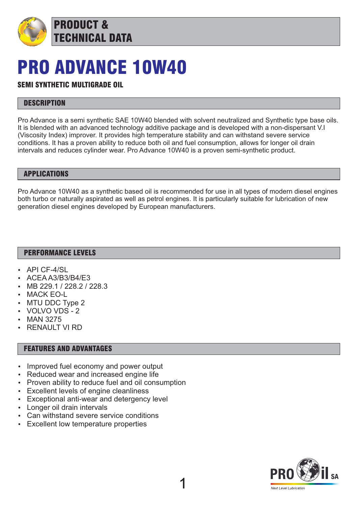

# PRO ADVANCE 10W40

## SEMI SYNTHETIC MULTIGRADE OIL

### **DESCRIPTION**

Pro Advance is a semi synthetic SAE 10W40 blended with solvent neutralized and Synthetic type base oils. It is blended with an advanced technology additive package and is developed with a non-dispersant V.I (Viscosity Index) improver. It provides high temperature stability and can withstand severe service conditions. It has a proven ability to reduce both oil and fuel consumption, allows for longer oil drain intervals and reduces cylinder wear. Pro Advance 10W40 is a proven semi-synthetic product.

#### APPLICATIONS

Pro Advance 10W40 as a synthetic based oil is recommended for use in all types of modern diesel engines both turbo or naturally aspirated as well as petrol engines. It is particularly suitable for lubrication of new generation diesel engines developed by European manufacturers.

1

### PERFORMANCE LEVELS

- API CF-4/SL
- ACFA A3/B3/B4/F3
- MB 229.1 / 228.2 / 228.3
- **MACK EO-L**
- MTU DDC Type 2
- VOLVO VDS 2
- **MAN 3275**
- **RENAULT VI RD**

#### FEATURES AND ADVANTAGES

- Improved fuel economy and power output
- Reduced wear and increased engine life
- Proven ability to reduce fuel and oil consumption
- Excellent levels of engine cleanliness
- Exceptional anti-wear and detergency level
- Longer oil drain intervals
- Can withstand severe service conditions
- Excellent low temperature properties